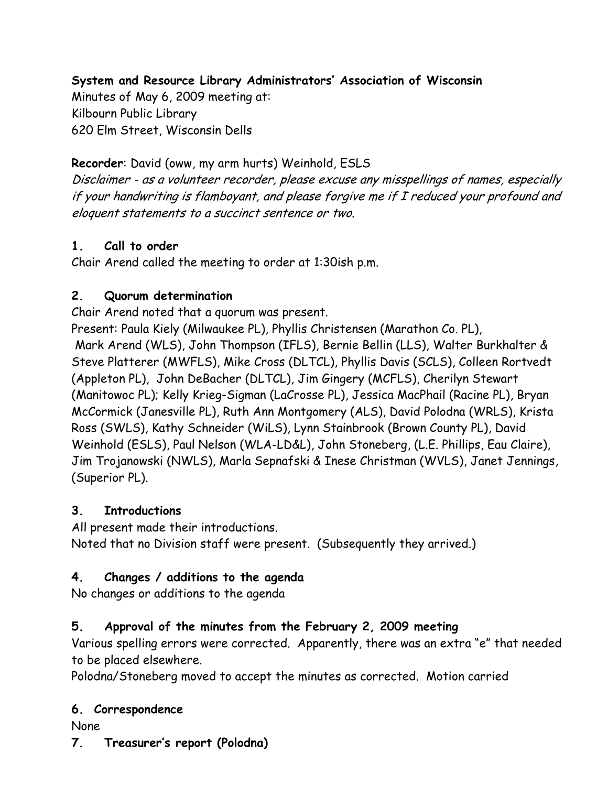System and Resource Library Administrators' Association of Wisconsin

Minutes of May 6, 2009 meeting at: Kilbourn Public Library 620 Elm Street, Wisconsin Dells

Recorder: David (oww, my arm hurts) Weinhold, ESLS

Disclaimer - as a volunteer recorder, please excuse any misspellings of names, especially if your handwriting is flamboyant, and please forgive me if I reduced your profound and eloquent statements to a succinct sentence or two.

## 1. Call to order

Chair Arend called the meeting to order at 1:30ish p.m.

#### 2. Quorum determination

Chair Arend noted that a quorum was present.

Present: Paula Kiely (Milwaukee PL), Phyllis Christensen (Marathon Co. PL), Mark Arend (WLS), John Thompson (IFLS), Bernie Bellin (LLS), Walter Burkhalter & Steve Platterer (MWFLS), Mike Cross (DLTCL), Phyllis Davis (SCLS), Colleen Rortvedt (Appleton PL), John DeBacher (DLTCL), Jim Gingery (MCFLS), Cherilyn Stewart (Manitowoc PL); Kelly Krieg-Sigman (LaCrosse PL), Jessica MacPhail (Racine PL), Bryan McCormick (Janesville PL), Ruth Ann Montgomery (ALS), David Polodna (WRLS), Krista Ross (SWLS), Kathy Schneider (WiLS), Lynn Stainbrook (Brown County PL), David Weinhold (ESLS), Paul Nelson (WLA-LD&L), John Stoneberg, (L.E. Phillips, Eau Claire), Jim Trojanowski (NWLS), Marla Sepnafski & Inese Christman (WVLS), Janet Jennings, (Superior PL).

## 3. Introductions

All present made their introductions. Noted that no Division staff were present. (Subsequently they arrived.)

## 4. Changes / additions to the agenda

No changes or additions to the agenda

## 5. Approval of the minutes from the February 2, 2009 meeting

Various spelling errors were corrected. Apparently, there was an extra "e" that needed to be placed elsewhere.

Polodna/Stoneberg moved to accept the minutes as corrected. Motion carried

## 6. Correspondence

None

7. Treasurer's report (Polodna)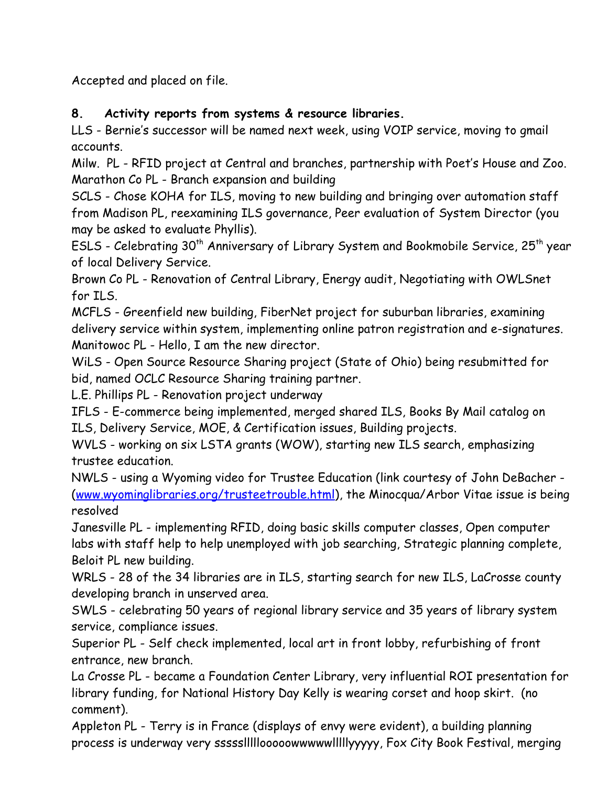Accepted and placed on file.

# 8. Activity reports from systems & resource libraries.

LLS - Bernie's successor will be named next week, using VOIP service, moving to gmail accounts.

Milw. PL - RFID project at Central and branches, partnership with Poet's House and Zoo. Marathon Co PL - Branch expansion and building

SCLS - Chose KOHA for ILS, moving to new building and bringing over automation staff from Madison PL, reexamining ILS governance, Peer evaluation of System Director (you may be asked to evaluate Phyllis).

ESLS - Celebrating 30<sup>th</sup> Anniversary of Library System and Bookmobile Service, 25<sup>th</sup> year of local Delivery Service.

Brown Co PL - Renovation of Central Library, Energy audit, Negotiating with OWLSnet for ILS.

MCFLS - Greenfield new building, FiberNet project for suburban libraries, examining delivery service within system, implementing online patron registration and e-signatures. Manitowoc PL - Hello, I am the new director.

WiLS - Open Source Resource Sharing project (State of Ohio) being resubmitted for bid, named OCLC Resource Sharing training partner.

L.E. Phillips PL - Renovation project underway

IFLS - E-commerce being implemented, merged shared ILS, Books By Mail catalog on ILS, Delivery Service, MOE, & Certification issues, Building projects.

WVLS - working on six LSTA grants (WOW), starting new ILS search, emphasizing trustee education.

NWLS - using a Wyoming video for Trustee Education (link courtesy of John DeBacher - (www.wyominglibraries.org/trusteetrouble.html), the Minocqua/Arbor Vitae issue is being resolved

Janesville PL - implementing RFID, doing basic skills computer classes, Open computer labs with staff help to help unemployed with job searching, Strategic planning complete, Beloit PL new building.

WRLS - 28 of the 34 libraries are in ILS, starting search for new ILS, LaCrosse county developing branch in unserved area.

SWLS - celebrating 50 years of regional library service and 35 years of library system service, compliance issues.

Superior PL - Self check implemented, local art in front lobby, refurbishing of front entrance, new branch.

La Crosse PL - became a Foundation Center Library, very influential ROI presentation for library funding, for National History Day Kelly is wearing corset and hoop skirt. (no comment).

Appleton PL - Terry is in France (displays of envy were evident), a building planning process is underway very ssssslllllooooowwwwwlllllyyyyy, Fox City Book Festival, merging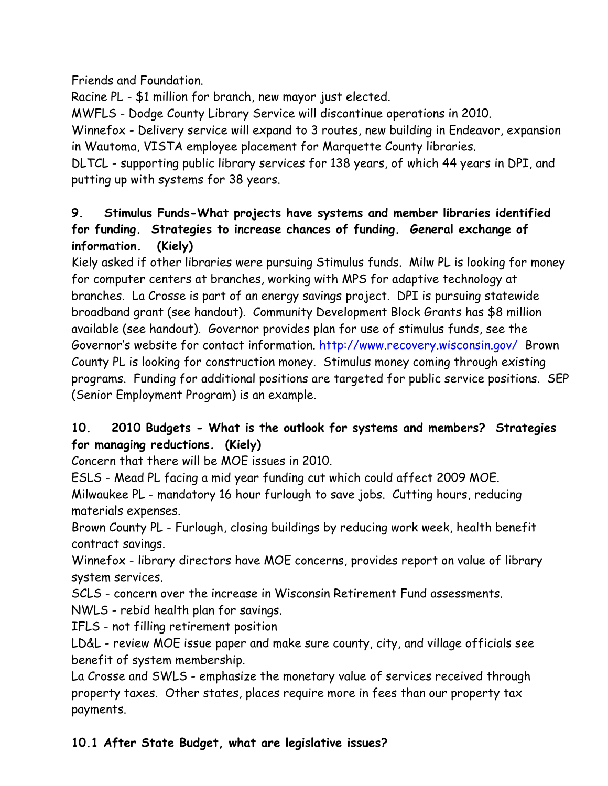## Friends and Foundation.

Racine PL - \$1 million for branch, new mayor just elected.

MWFLS - Dodge County Library Service will discontinue operations in 2010.

Winnefox - Delivery service will expand to 3 routes, new building in Endeavor, expansion in Wautoma, VISTA employee placement for Marquette County libraries.

DLTCL - supporting public library services for 138 years, of which 44 years in DPI, and putting up with systems for 38 years.

## 9. Stimulus Funds-What projects have systems and member libraries identified for funding. Strategies to increase chances of funding. General exchange of information. (Kiely)

Kiely asked if other libraries were pursuing Stimulus funds. Milw PL is looking for money for computer centers at branches, working with MPS for adaptive technology at branches. La Crosse is part of an energy savings project. DPI is pursuing statewide broadband grant (see handout). Community Development Block Grants has \$8 million available (see handout). Governor provides plan for use of stimulus funds, see the Governor's website for contact information. http://www.recovery.wisconsin.gov/ Brown County PL is looking for construction money. Stimulus money coming through existing programs. Funding for additional positions are targeted for public service positions. SEP (Senior Employment Program) is an example.

# 10. 2010 Budgets - What is the outlook for systems and members? Strategies for managing reductions. (Kiely)

Concern that there will be MOE issues in 2010.

ESLS - Mead PL facing a mid year funding cut which could affect 2009 MOE.

Milwaukee PL - mandatory 16 hour furlough to save jobs. Cutting hours, reducing materials expenses.

Brown County PL - Furlough, closing buildings by reducing work week, health benefit contract savings.

Winnefox - library directors have MOE concerns, provides report on value of library system services.

SCLS - concern over the increase in Wisconsin Retirement Fund assessments.

NWLS - rebid health plan for savings.

IFLS - not filling retirement position

LD&L - review MOE issue paper and make sure county, city, and village officials see benefit of system membership.

La Crosse and SWLS - emphasize the monetary value of services received through property taxes. Other states, places require more in fees than our property tax payments.

# 10.1 After State Budget, what are legislative issues?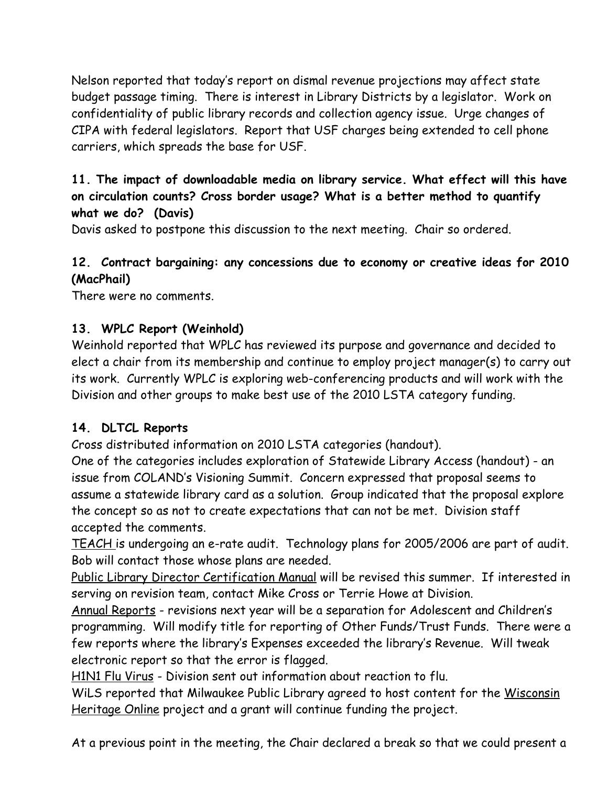Nelson reported that today's report on dismal revenue projections may affect state budget passage timing. There is interest in Library Districts by a legislator. Work on confidentiality of public library records and collection agency issue. Urge changes of CIPA with federal legislators. Report that USF charges being extended to cell phone carriers, which spreads the base for USF.

# 11. The impact of downloadable media on library service. What effect will this have on circulation counts? Cross border usage? What is a better method to quantify what we do? (Davis)

Davis asked to postpone this discussion to the next meeting. Chair so ordered.

# 12. Contract bargaining: any concessions due to economy or creative ideas for 2010 (MacPhail)

There were no comments.

## 13. WPLC Report (Weinhold)

Weinhold reported that WPLC has reviewed its purpose and governance and decided to elect a chair from its membership and continue to employ project manager(s) to carry out its work. Currently WPLC is exploring web-conferencing products and will work with the Division and other groups to make best use of the 2010 LSTA category funding.

## 14. DLTCL Reports

Cross distributed information on 2010 LSTA categories (handout).

One of the categories includes exploration of Statewide Library Access (handout) - an issue from COLAND's Visioning Summit. Concern expressed that proposal seems to assume a statewide library card as a solution. Group indicated that the proposal explore the concept so as not to create expectations that can not be met. Division staff accepted the comments.

TEACH is undergoing an e-rate audit. Technology plans for 2005/2006 are part of audit. Bob will contact those whose plans are needed.

Public Library Director Certification Manual will be revised this summer. If interested in serving on revision team, contact Mike Cross or Terrie Howe at Division.

Annual Reports - revisions next year will be a separation for Adolescent and Children's programming. Will modify title for reporting of Other Funds/Trust Funds. There were a few reports where the library's Expenses exceeded the library's Revenue. Will tweak electronic report so that the error is flagged.

H1N1 Flu Virus - Division sent out information about reaction to flu.

WiLS reported that Milwaukee Public Library agreed to host content for the Wisconsin Heritage Online project and a grant will continue funding the project.

At a previous point in the meeting, the Chair declared a break so that we could present a